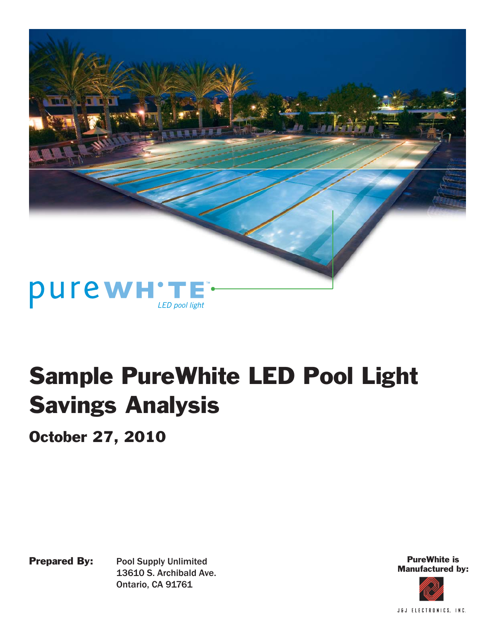

October 27, 2010

Prepared By: Pool Supply Unlimited 13610 S. Archibald Ave. Ontario, CA 91761

PureWhite is Manufactured by:

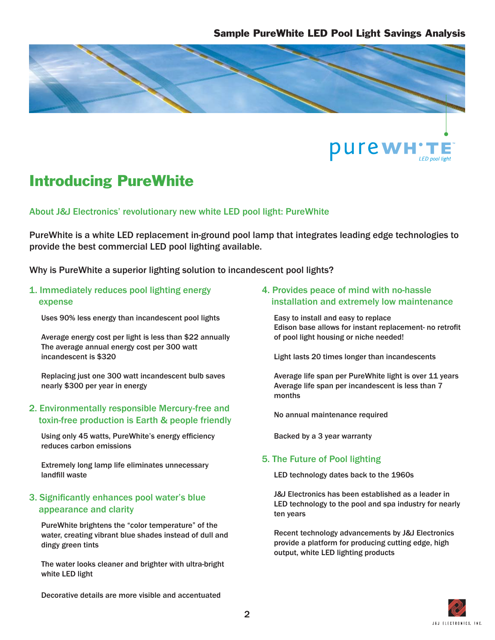



# Introducing PureWhite

About J&J Electronics' revolutionary new white LED pool light: PureWhite

PureWhite is a white LED replacement in-ground pool lamp that integrates leading edge technologies to provide the best commercial LED pool lighting available.

Why is PureWhite a superior lighting solution to incandescent pool lights?

#### 1. Immediately reduces pool lighting energy expense

Uses 90% less energy than incandescent pool lights

 Average energy cost per light is less than \$22 annually The average annual energy cost per 300 watt incandescent is \$320

 Replacing just one 300 watt incandescent bulb saves nearly \$300 per year in energy

#### 2. Environmentally responsible Mercury-free and toxin-free production is Earth & people friendly

Using only 45 watts, PureWhite's energy efficiency reduces carbon emissions

 Extremely long lamp life eliminates unnecessary landfill waste

#### 3. Significantly enhances pool water's blue appearance and clarity

 PureWhite brightens the "color temperature" of the water, creating vibrant blue shades instead of dull and dingy green tints

 The water looks cleaner and brighter with ultra-bright white LED light

#### 4. Provides peace of mind with no-hassle installation and extremely low maintenance

 Easy to install and easy to replace Edison base allows for instant replacement- no retrofit of pool light housing or niche needed!

Light lasts 20 times longer than incandescents

 Average life span per PureWhite light is over 11 years Average life span per incandescent is less than 7 months

No annual maintenance required

Backed by a 3 year warranty

#### 5. The Future of Pool lighting

LED technology dates back to the 1960s

 J&J Electronics has been established as a leader in LED technology to the pool and spa industry for nearly ten years

 Recent technology advancements by J&J Electronics provide a platform for producing cutting edge, high output, white LED lighting products



Decorative details are more visible and accentuated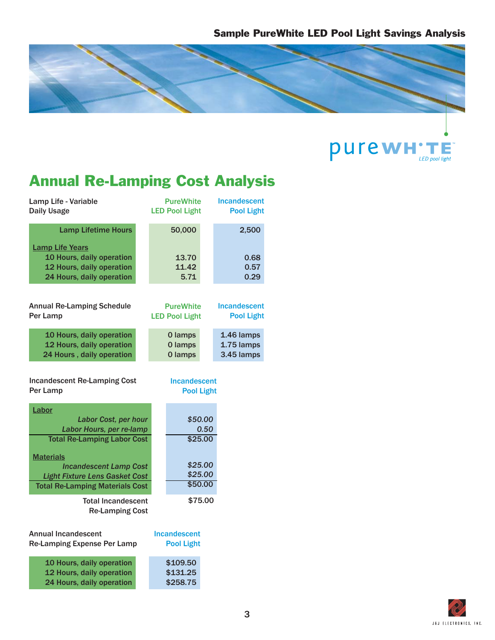

**PUTEWH'TE** 

# Annual Re-Lamping Cost Analysis

| Lamp Life - Variable<br><b>Daily Usage</b>                                      | <b>PureWhite</b><br><b>LED Pool Light</b> | Incandescent<br><b>Pool Light</b> |
|---------------------------------------------------------------------------------|-------------------------------------------|-----------------------------------|
| <b>Lamp Lifetime Hours</b><br><b>Lamp Life Years</b>                            | 50,000                                    | 2,500                             |
| 10 Hours, daily operation                                                       | 13.70                                     | 0.68                              |
| 12 Hours, daily operation                                                       | 11.42                                     | 0.57                              |
| 24 Hours, daily operation                                                       | 5.71                                      | 0.29                              |
| <b>Annual Re-Lamping Schedule</b><br>Per Lamp                                   | <b>PureWhite</b><br><b>LED Pool Light</b> | Incandescent<br><b>Pool Light</b> |
| 10 Hours, daily operation                                                       | 0 lamps                                   | 1.46 lamps                        |
| 12 Hours, daily operation                                                       | 0 lamps                                   | 1.75 lamps                        |
| 24 Hours, daily operation                                                       | 0 lamps                                   | 3.45 lamps                        |
| <b>Incandescent Re-Lamping Cost</b><br>Per Lamp                                 | <b>Incandescent</b><br><b>Pool Light</b>  |                                   |
| Labor                                                                           |                                           |                                   |
| Labor Cost, per hour<br>Labor Hours, per re-lamp                                | \$50.00<br>0.50                           |                                   |
| <b>Total Re-Lamping Labor Cost</b>                                              | \$25.00                                   |                                   |
|                                                                                 |                                           |                                   |
| <b>Materials</b>                                                                |                                           |                                   |
| <b>Incandescent Lamp Cost</b>                                                   | \$25.00<br>\$25.00                        |                                   |
| <b>Light Fixture Lens Gasket Cost</b><br><b>Total Re-Lamping Materials Cost</b> | \$50.00                                   |                                   |
|                                                                                 |                                           |                                   |
| <b>Total Incandescent</b><br><b>Re-Lamping Cost</b>                             | \$75.00                                   |                                   |
| <b>Annual Incandescent</b><br>Re-Lamping Expense Per Lamp                       | <b>Incandescent</b><br><b>Pool Light</b>  |                                   |
| 10 Hours, daily operation                                                       | \$109.50                                  |                                   |

12 Hours, daily operation 24 Hours, daily operation



\$131.25 \$258.75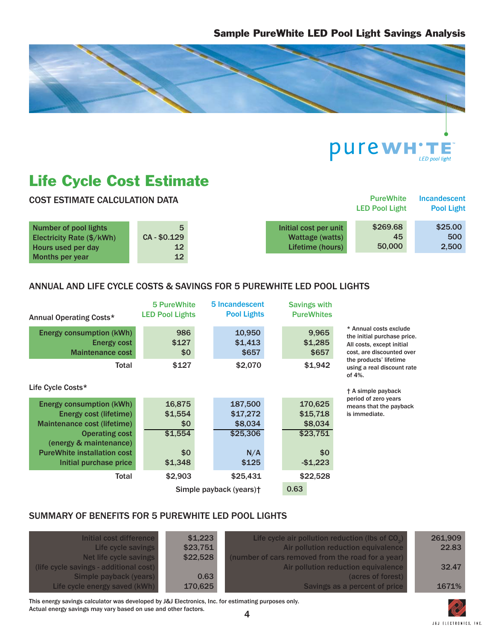



# Life Cycle Cost Estimate

| <b>COST ESTIMATE CALCULATION DATA</b>              |                                    |                                          | <b>PureWhite</b><br><b>LED Pool Light</b> | <b>Incandescent</b><br><b>Pool Light</b> |
|----------------------------------------------------|------------------------------------|------------------------------------------|-------------------------------------------|------------------------------------------|
| Number of pool lights<br>Electricity Rate (\$/kWh) | 5<br>CA-\$0.129                    | Initial cost per unit<br>Wattage (watts) | \$269.68<br>45                            | \$25.00<br>500                           |
| Hours used per day<br>Months per year              | 12 <sup>7</sup><br>12 <sup>°</sup> | Lifetime (hours)                         | 50,000                                    | 2,500                                    |

### ANNUAL AND LIFE CYCLE COSTS & SAVINGS FOR 5 PUREWHITE LED POOL LIGHTS

| Annual Operating Costs*                                                                                                                                                                                     | 5 PureWhite<br><b>LED Pool Lights</b>                 | 5 Incandescent<br><b>Pool Lights</b>                       | <b>Savings with</b><br><b>PureWhites</b>                       |                                                                                                                 |
|-------------------------------------------------------------------------------------------------------------------------------------------------------------------------------------------------------------|-------------------------------------------------------|------------------------------------------------------------|----------------------------------------------------------------|-----------------------------------------------------------------------------------------------------------------|
| <b>Energy consumption (kWh)</b><br>Energy cost<br><b>Maintenance cost</b>                                                                                                                                   | 986<br>\$127<br>\$0                                   | 10,950<br>\$1,413<br>\$657                                 | 9,965<br>\$1,285<br>\$657                                      | * Annual costs exclude<br>the initial purchase price.<br>All costs, except initial<br>cost, are discounted over |
| Total<br>Life Cycle Costs*                                                                                                                                                                                  | \$127                                                 | \$2,070                                                    | \$1,942                                                        | the products' lifetime<br>using a real discount rate<br>of $4\%$ .                                              |
| <b>Energy consumption (kWh)</b><br>Energy cost (lifetime)<br>Maintenance cost (lifetime)<br><b>Operating cost</b><br>(energy & maintenance)<br><b>PureWhite installation cost</b><br>Initial purchase price | 16,875<br>\$1,554<br>\$0<br>\$1,554<br>\$0<br>\$1,348 | 187,500<br>\$17,272<br>\$8,034<br>\$25,306<br>N/A<br>\$125 | 170,625<br>\$15,718<br>\$8,034<br>\$23,751<br>\$0<br>$-$1,223$ | † A simple payback<br>period of zero years<br>means that the payback<br>is immediate.                           |
| Total                                                                                                                                                                                                       | \$2,903                                               | \$25,431<br>Simple payback (years)+                        | \$22,528<br>0.63                                               |                                                                                                                 |

### SUMMARY OF BENEFITS FOR 5 PUREWHITE LED POOL LIGHTS

| Initial cost difference<br>Life cycle savings | \$1,223<br>\$23,751 | Life cycle air pollution reduction (lbs of $CO2$ )<br>Air pollution reduction equivalence | 261,909<br>22.83 |
|-----------------------------------------------|---------------------|-------------------------------------------------------------------------------------------|------------------|
| Net life cycle savings                        | \$22,528            | (number of cars removed from the road for a year)                                         |                  |
| (life cycle savings - additional cost)        |                     | Air pollution reduction equivalence                                                       | 32.47            |
| Simple payback (years)                        | 0.63                | (acres of forest)                                                                         |                  |
| Life cycle energy saved (kWh)                 | 170,625             | Savings as a percent of price                                                             | 1671%            |

This energy savings calculator was developed by J&J Electronics, Inc. for estimating purposes only. Actual energy savings may vary based on use and other factors.

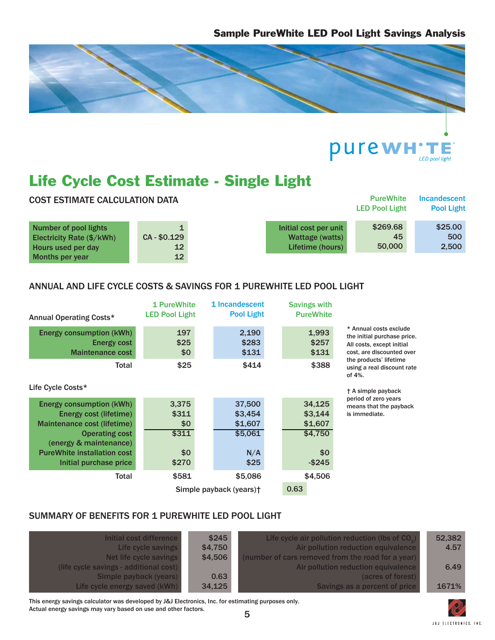



# Life Cycle Cost Estimate - Single Light

| <b>COST ESTIMATE CALCULATION DATA</b>                                                    |                               |                                                              | <b>PureWhite</b><br><b>LED Pool Light</b> | <b>Incandescent</b><br><b>Pool Light</b> |
|------------------------------------------------------------------------------------------|-------------------------------|--------------------------------------------------------------|-------------------------------------------|------------------------------------------|
| <b>Number of pool lights</b><br>Electricity Rate $(\frac{5}{kWh})$<br>Hours used per day | CA-\$0.129<br>12 <sub>2</sub> | Initial cost per unit<br>Wattage (watts)<br>Lifetime (hours) | \$269.68<br>45<br>50,000                  | \$25.00<br>500<br>2,500                  |
| Months per year                                                                          | 12 <sub>2</sub>               |                                                              |                                           |                                          |

### ANNUAL AND LIFE CYCLE COSTS & SAVINGS FOR 1 PUREWHITE LED POOL LIGHT

| Annual Operating Costs*                                                                                                                                                                                     | 1 PureWhite<br><b>LED Pool Light</b>           | 1 Incandescent<br><b>Pool Light</b>                    | <b>Savings with</b><br><b>PureWhite</b>                     |                                                                                                                 |
|-------------------------------------------------------------------------------------------------------------------------------------------------------------------------------------------------------------|------------------------------------------------|--------------------------------------------------------|-------------------------------------------------------------|-----------------------------------------------------------------------------------------------------------------|
| <b>Energy consumption (kWh)</b><br><b>Energy cost</b><br><b>Maintenance cost</b>                                                                                                                            | 197<br>\$25<br>\$0                             | 2,190<br>\$283<br>\$131                                | 1,993<br>\$257<br>\$131                                     | * Annual costs exclude<br>the initial purchase price.<br>All costs, except initial<br>cost, are discounted over |
| Total<br>Life Cycle Costs*                                                                                                                                                                                  | \$25                                           | \$414                                                  | \$388                                                       | the products' lifetime<br>using a real discount rate<br>of $4\%$ .<br>† A simple payback                        |
| <b>Energy consumption (kWh)</b><br>Energy cost (lifetime)<br>Maintenance cost (lifetime)<br><b>Operating cost</b><br>(energy & maintenance)<br><b>PureWhite installation cost</b><br>Initial purchase price | 3,375<br>\$311<br>\$0<br>\$311<br>\$0<br>\$270 | 37,500<br>\$3,454<br>\$1,607<br>\$5,061<br>N/A<br>\$25 | 34,125<br>\$3,144<br>\$1,607<br>\$4,750<br>\$0<br>$-$ \$245 | period of zero years<br>means that the payback<br>is immediate.                                                 |
| Total                                                                                                                                                                                                       | \$581                                          | \$5,086<br>Simple payback (years) <sup>+</sup>         | \$4,506<br>0.63                                             |                                                                                                                 |

### SUMMARY OF BENEFITS FOR 1 PUREWHITE LED POOL LIGHT

| Initial cost difference<br>Life cycle savings | \$245<br>\$4,750 | Life cycle air pollution reduction (lbs of $CO2$ )<br>Air pollution reduction equivalence | 52,382<br>4.57 |
|-----------------------------------------------|------------------|-------------------------------------------------------------------------------------------|----------------|
| Net life cycle savings                        | \$4,506          | (number of cars removed from the road for a year)                                         |                |
| (life cycle savings - additional cost)        |                  | Air pollution reduction equivalence                                                       | 6.49           |
| Simple payback (years)                        | 0.63             | (acres of forest)                                                                         |                |
| Life cycle energy saved (kWh)                 | 34,125           | Savings as a percent of price                                                             | 1671%          |

This energy savings calculator was developed by J&J Electronics, Inc. for estimating purposes only. Actual energy savings may vary based on use and other factors.